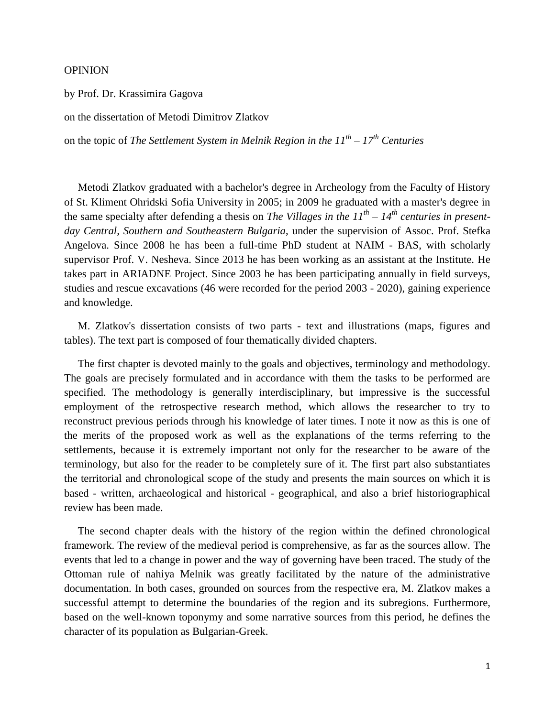## OPINION

by Prof. Dr. Krassimira Gagova

on the dissertation of Metodi Dimitrov Zlatkov

on the topic of *The Settlement System in Melnik Region in the 11th – 17th Centuries*

 Metodi Zlatkov graduated with a bachelor's degree in Archeology from the Faculty of History of St. Kliment Ohridski Sofia University in 2005; in 2009 he graduated with a master's degree in the same specialty after defending a thesis on *The Villages in the 11th – 14th centuries in presentday Central, Southern and Southeastern Bulgaria*, under the supervision of Assoc. Prof. Stefka Angelova. Since 2008 he has been a full-time PhD student at NAIM - BAS, with scholarly supervisor Prof. V. Nesheva. Since 2013 he has been working as an assistant at the Institute. He takes part in ARIADNE Project. Since 2003 he has been participating annually in field surveys, studies and rescue excavations (46 were recorded for the period 2003 - 2020), gaining experience and knowledge.

 M. Zlatkov's dissertation consists of two parts - text and illustrations (maps, figures and tables). The text part is composed of four thematically divided chapters.

 The first chapter is devoted mainly to the goals and objectives, terminology and methodology. The goals are precisely formulated and in accordance with them the tasks to be performed are specified. The methodology is generally interdisciplinary, but impressive is the successful employment of the retrospective research method, which allows the researcher to try to reconstruct previous periods through his knowledge of later times. I note it now as this is one of the merits of the proposed work as well as the explanations of the terms referring to the settlements, because it is extremely important not only for the researcher to be aware of the terminology, but also for the reader to be completely sure of it. The first part also substantiates the territorial and chronological scope of the study and presents the main sources on which it is based - written, archaeological and historical - geographical, and also a brief historiographical review has been made.

 The second chapter deals with the history of the region within the defined chronological framework. The review of the medieval period is comprehensive, as far as the sources allow. The events that led to a change in power and the way of governing have been traced. The study of the Ottoman rule of nahiya Melnik was greatly facilitated by the nature of the administrative documentation. In both cases, grounded on sources from the respective era, M. Zlatkov makes a successful attempt to determine the boundaries of the region and its subregions. Furthermore, based on the well-known toponymy and some narrative sources from this period, he defines the character of its population as Bulgarian-Greek.